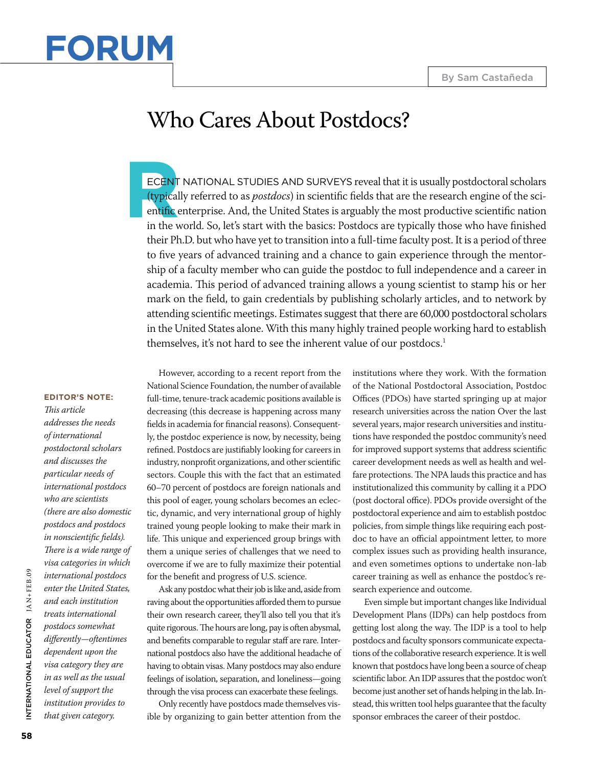

## Who Cares About Postdocs?

**ECENT NAT**<br> **(typically ref**<br> **entific enterprint the world)** ECENT NATIONAL STUDIES AND SURVEYS reveal that it is usually postdoctoral scholars (typically referred to as *postdocs*) in scientific fields that are the research engine of the scientific enterprise. And, the United States is arguably the most productive scientific nation in the world. So, let's start with the basics: Postdocs are typically those who have finished their Ph.D. but who have yet to transition into a full-time faculty post. It is a period of three to five years of advanced training and a chance to gain experience through the mentorship of a faculty member who can guide the postdoc to full independence and a career in academia. This period of advanced training allows a young scientist to stamp his or her mark on the field, to gain credentials by publishing scholarly articles, and to network by attending scientific meetings. Estimates suggest that there are 60,000 postdoctoral scholars in the United States alone. With this many highly trained people working hard to establish themselves, it's not hard to see the inherent value of our postdocs.<sup>1</sup>

## **Editor's Note:**

*This article addresses the needs of international postdoctoral scholars and discusses the particular needs of international postdocs who are scientists (there are also domestic postdocs and postdocs in nonscientific fields). There is a wide range of visa categories in which international postdocs enter the United States, and each institution treats international postdocs somewhat differently—oftentimes dependent upon the visa category they are in as well as the usual level of support the institution provides to that given category.* 

However, according to a recent report from the National Science Foundation, the number of available full-time, tenure-track academic positions available is decreasing (this decrease is happening across many fields in academia for financial reasons). Consequently, the postdoc experience is now, by necessity, being refined. Postdocs are justifiably looking for careers in industry, nonprofit organizations, and other scientific sectors. Couple this with the fact that an estimated 60–70 percent of postdocs are foreign nationals and this pool of eager, young scholars becomes an eclectic, dynamic, and very international group of highly trained young people looking to make their mark in life. This unique and experienced group brings with them a unique series of challenges that we need to overcome if we are to fully maximize their potential for the benefit and progress of U.S. science.

Ask any postdoc what their job is like and, aside from raving about the opportunities afforded them to pursue their own research career, they'll also tell you that it's quite rigorous. The hours are long, pay is often abysmal, and benefits comparable to regular staff are rare. International postdocs also have the additional headache of having to obtain visas. Many postdocs may also endure feelings of isolation, separation, and loneliness—going through the visa process can exacerbate these feelings.

Only recently have postdocs made themselves visible by organizing to gain better attention from the institutions where they work. With the formation of the National Postdoctoral Association, Postdoc Offices (PDOs) have started springing up at major research universities across the nation Over the last several years, major research universities and institutions have responded the postdoc community's need for improved support systems that address scientific career development needs as well as health and welfare protections. The NPA lauds this practice and has institutionalized this community by calling it a PDO (post doctoral office). PDOs provide oversight of the postdoctoral experience and aim to establish postdoc policies, from simple things like requiring each postdoc to have an official appointment letter, to more complex issues such as providing health insurance, and even sometimes options to undertake non-lab career training as well as enhance the postdoc's research experience and outcome.

Even simple but important changes like Individual Development Plans (IDPs) can help postdocs from getting lost along the way. The IDP is a tool to help postdocs and faculty sponsors communicate expectations of the collaborative research experience. It is well known that postdocs have long been a source of cheap scientific labor. An IDP assures that the postdoc won't become just another set of hands helping in the lab. Instead, this written tool helps guarantee that the faculty sponsor embraces the career of their postdoc.

Internati

onal Educat

NTERNATIONAL EDUCATOR JAN+FEB.09

or JAN+FEB.09